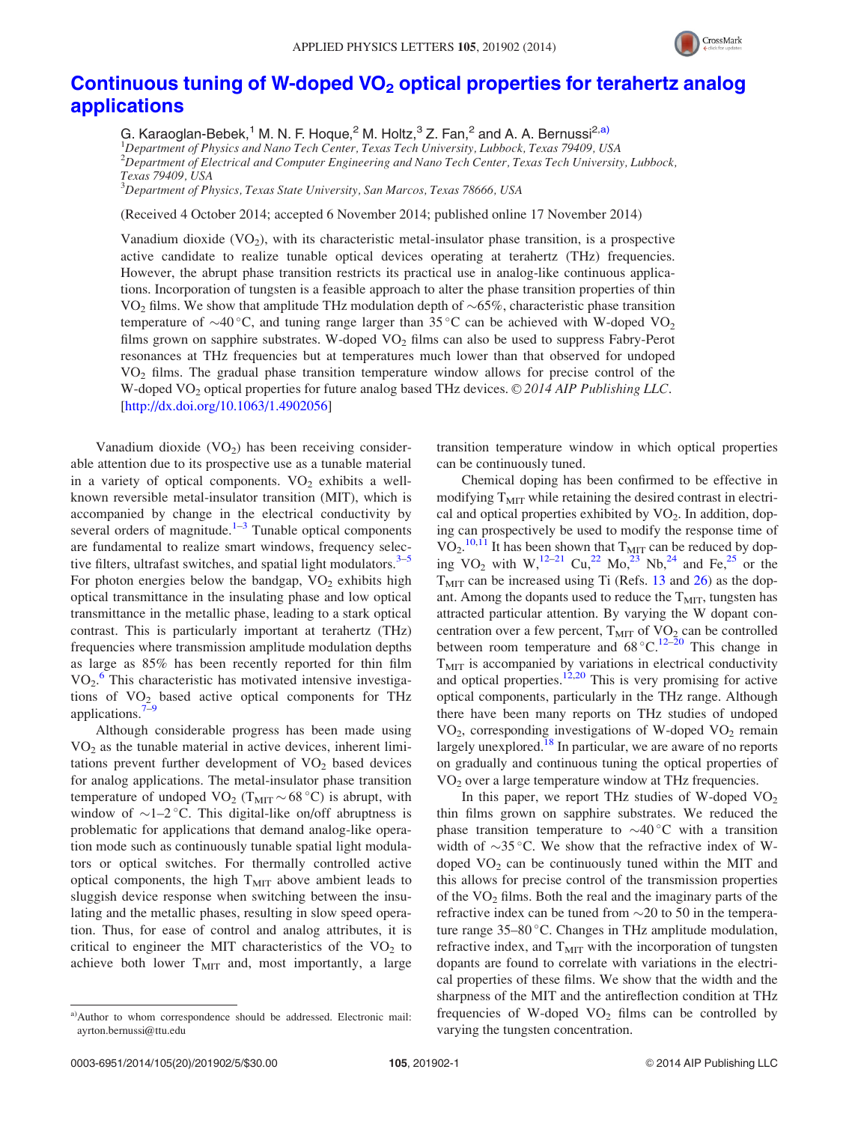

## Continuous tuning of W-doped VO<sub>2</sub> [optical properties for terahertz analog](http://dx.doi.org/10.1063/1.4902056) [applications](http://dx.doi.org/10.1063/1.4902056)

G. Karaoglan-Bebek,<sup>1</sup> M. N. F. Hogue,<sup>2</sup> M. Holtz,<sup>3</sup> Z. Fan,<sup>2</sup> and A. A. Bernussi<sup>2,a)</sup> <sup>1</sup>Department of Physics and Nano Tech Center, Texas Tech University, Lubbock, Texas 79409, USA  $^{2}$ Department of Electrical and Computer Engineering and Nano Tech Center, Texas Tech University, Lubbock, Texas 79409, USA

 $^3$ Department of Physics, Texas State University, San Marcos, Texas 78666, USA

(Received 4 October 2014; accepted 6 November 2014; published online 17 November 2014)

Vanadium dioxide  $(VO_2)$ , with its characteristic metal-insulator phase transition, is a prospective active candidate to realize tunable optical devices operating at terahertz (THz) frequencies. However, the abrupt phase transition restricts its practical use in analog-like continuous applications. Incorporation of tungsten is a feasible approach to alter the phase transition properties of thin VO<sub>2</sub> films. We show that amplitude THz modulation depth of  $\sim$  65%, characteristic phase transition temperature of  $\sim$ 40 °C, and tuning range larger than 35 °C can be achieved with W-doped VO<sub>2</sub> films grown on sapphire substrates. W-doped  $VO<sub>2</sub>$  films can also be used to suppress Fabry-Perot resonances at THz frequencies but at temperatures much lower than that observed for undoped VO2 films. The gradual phase transition temperature window allows for precise control of the W-doped  $VO_2$  optical properties for future analog based THz devices.  $\odot$  2014 AIP Publishing LLC. [\[http://dx.doi.org/10.1063/1.4902056](http://dx.doi.org/10.1063/1.4902056)]

Vanadium dioxide  $(VO_2)$  has been receiving considerable attention due to its prospective use as a tunable material in a variety of optical components.  $VO<sub>2</sub>$  exhibits a wellknown reversible metal-insulator transition (MIT), which is accompanied by change in the electrical conductivity by several orders of magnitude.<sup>[1](#page-3-0)–[3](#page-3-0)</sup> Tunable optical components are fundamental to realize smart windows, frequency selective filters, ultrafast switches, and spatial light modulators. $3-5$ For photon energies below the bandgap,  $VO<sub>2</sub>$  exhibits high optical transmittance in the insulating phase and low optical transmittance in the metallic phase, leading to a stark optical contrast. This is particularly important at terahertz (THz) frequencies where transmission amplitude modulation depths as large as 85% has been recently reported for thin film  $VO<sub>2</sub>$ .<sup>[6](#page-3-0)</sup> This characteristic has motivated intensive investigations of  $VO<sub>2</sub>$  based active optical components for THz applications. $7-9$ 

Although considerable progress has been made using  $VO<sub>2</sub>$  as the tunable material in active devices, inherent limitations prevent further development of  $VO<sub>2</sub>$  based devices for analog applications. The metal-insulator phase transition temperature of undoped  $VO<sub>2</sub> (T<sub>MIT</sub> ~ 68 °C)$  is abrupt, with window of  $\sim$ 1-2 °C. This digital-like on/off abruptness is problematic for applications that demand analog-like operation mode such as continuously tunable spatial light modulators or optical switches. For thermally controlled active optical components, the high  $T<sub>MIT</sub>$  above ambient leads to sluggish device response when switching between the insulating and the metallic phases, resulting in slow speed operation. Thus, for ease of control and analog attributes, it is critical to engineer the MIT characteristics of the  $VO<sub>2</sub>$  to achieve both lower  $T<sub>MIT</sub>$  and, most importantly, a large transition temperature window in which optical properties can be continuously tuned.

Chemical doping has been confirmed to be effective in modifying  $T<sub>MIT</sub>$  while retaining the desired contrast in electrical and optical properties exhibited by  $VO<sub>2</sub>$ . In addition, doping can prospectively be used to modify the response time of  $VO<sub>2</sub>$ .<sup>[10,11](#page-3-0)</sup> It has been shown that  $T<sub>MIT</sub>$  can be reduced by doping  $VO_2$  with  $W_1^{12-21}$  $W_1^{12-21}$  $W_1^{12-21}$  Cu<sub>1</sub><sup>22</sup> Mo<sub>1</sub><sup>23</sup> Nb<sub>1</sub><sup>[24](#page-4-0)</sup> and Fe<sub>1</sub><sup>25</sup> or the  $T<sub>MIT</sub>$  can be increased using Ti (Refs. [13](#page-3-0) and [26](#page-4-0)) as the dopant. Among the dopants used to reduce the  $T<sub>MIT</sub>$ , tungsten has attracted particular attention. By varying the W dopant concentration over a few percent,  $T<sub>MIT</sub>$  of VO<sub>2</sub> can be controlled between room temperature and  $68^{\circ}$ C.<sup>[12](#page-3-0)–[20](#page-4-0)</sup> This change in  $T<sub>MIT</sub>$  is accompanied by variations in electrical conductivity and optical properties. $12,20$  $12,20$  $12,20$  This is very promising for active optical components, particularly in the THz range. Although there have been many reports on THz studies of undoped  $VO<sub>2</sub>$ , corresponding investigations of W-doped  $VO<sub>2</sub>$  remain largely unexplored.<sup>18</sup> In particular, we are aware of no reports on gradually and continuous tuning the optical properties of  $VO<sub>2</sub>$  over a large temperature window at THz frequencies.

In this paper, we report THz studies of W-doped  $VO<sub>2</sub>$ thin films grown on sapphire substrates. We reduced the phase transition temperature to  $\sim$  40 °C with a transition width of  $\sim$ 35 °C. We show that the refractive index of Wdoped  $VO<sub>2</sub>$  can be continuously tuned within the MIT and this allows for precise control of the transmission properties of the  $VO<sub>2</sub>$  films. Both the real and the imaginary parts of the refractive index can be tuned from  $\sim$ 20 to 50 in the temperature range  $35-80$  °C. Changes in THz amplitude modulation, refractive index, and  $T<sub>MIT</sub>$  with the incorporation of tungsten dopants are found to correlate with variations in the electrical properties of these films. We show that the width and the sharpness of the MIT and the antireflection condition at THz frequencies of W-doped  $VO<sub>2</sub>$  films can be controlled by varying the tungsten concentration.

a)Author to whom correspondence should be addressed. Electronic mail: [ayrton.bernussi@ttu.edu](mailto:ayrton.bernussi@ttu.edu)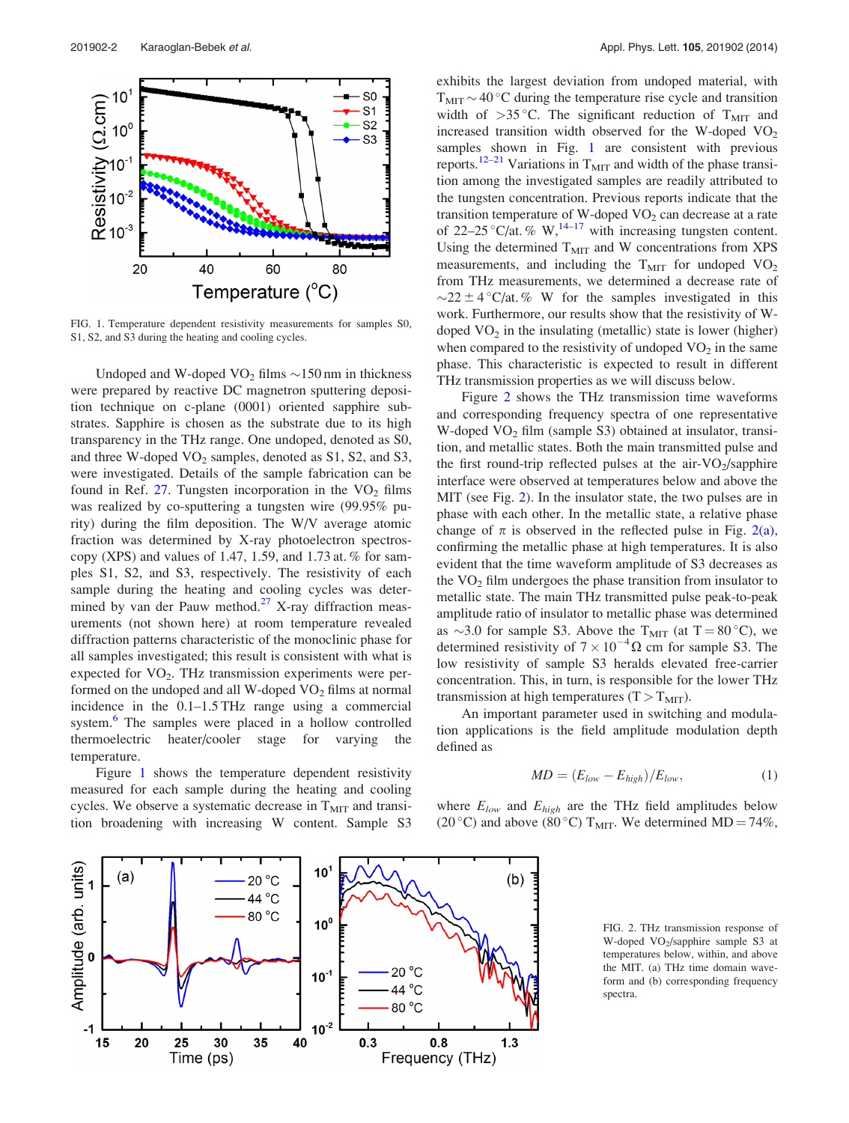<span id="page-1-0"></span>

FIG. 1. Temperature dependent resistivity measurements for samples S0, S1, S2, and S3 during the heating and cooling cycles.

Undoped and W-doped  $VO_2$  films  $\sim$ 150 nm in thickness were prepared by reactive DC magnetron sputtering deposition technique on c-plane (0001) oriented sapphire substrates. Sapphire is chosen as the substrate due to its high transparency in the THz range. One undoped, denoted as S0, and three W-doped  $VO<sub>2</sub>$  samples, denoted as S1, S2, and S3, were investigated. Details of the sample fabrication can be found in Ref. [27](#page-4-0). Tungsten incorporation in the  $VO<sub>2</sub>$  films was realized by co-sputtering a tungsten wire (99.95% purity) during the film deposition. The W/V average atomic fraction was determined by X-ray photoelectron spectroscopy (XPS) and values of 1.47, 1.59, and 1.73 at.  $%$  for samples S1, S2, and S3, respectively. The resistivity of each sample during the heating and cooling cycles was determined by van der Pauw method. $27$  X-ray diffraction measurements (not shown here) at room temperature revealed diffraction patterns characteristic of the monoclinic phase for all samples investigated; this result is consistent with what is expected for  $VO<sub>2</sub>$ . THz transmission experiments were performed on the undoped and all W-doped  $VO<sub>2</sub>$  films at normal incidence in the 0.1–1.5 THz range using a commercial system.<sup>[6](#page-3-0)</sup> The samples were placed in a hollow controlled thermoelectric heater/cooler stage for varying the temperature.

Figure 1 shows the temperature dependent resistivity measured for each sample during the heating and cooling cycles. We observe a systematic decrease in  $T<sub>MIT</sub>$  and transition broadening with increasing W content. Sample S3



exhibits the largest deviation from undoped material, with  $T<sub>MIT</sub>$  ~ 40 °C during the temperature rise cycle and transition width of  $>35^{\circ}$ C. The significant reduction of T<sub>MIT</sub> and increased transition width observed for the W-doped  $VO<sub>2</sub>$ samples shown in Fig. 1 are consistent with previous reports.<sup>[12](#page-3-0)[–21](#page-4-0)</sup> Variations in  $T<sub>MIT</sub>$  and width of the phase transition among the investigated samples are readily attributed to the tungsten concentration. Previous reports indicate that the transition temperature of W-doped  $VO<sub>2</sub>$  can decrease at a rate of 22–25 °C/at. % W,  $^{14-17}$  $^{14-17}$  $^{14-17}$  $^{14-17}$  $^{14-17}$  with increasing tungsten content. Using the determined  $T<sub>MIT</sub>$  and W concentrations from XPS measurements, and including the  $T<sub>MIT</sub>$  for undoped VO<sub>2</sub> from THz measurements, we determined a decrease rate of  $\sim$ 22 ± 4 °C/at. % W for the samples investigated in this work. Furthermore, our results show that the resistivity of Wdoped  $VO<sub>2</sub>$  in the insulating (metallic) state is lower (higher) when compared to the resistivity of undoped  $VO<sub>2</sub>$  in the same phase. This characteristic is expected to result in different THz transmission properties as we will discuss below.

Figure 2 shows the THz transmission time waveforms and corresponding frequency spectra of one representative W-doped  $VO<sub>2</sub>$  film (sample S3) obtained at insulator, transition, and metallic states. Both the main transmitted pulse and the first round-trip reflected pulses at the air-VO $_2$ /sapphire interface were observed at temperatures below and above the MIT (see Fig. 2). In the insulator state, the two pulses are in phase with each other. In the metallic state, a relative phase change of  $\pi$  is observed in the reflected pulse in Fig. 2(a), confirming the metallic phase at high temperatures. It is also evident that the time waveform amplitude of S3 decreases as the  $VO<sub>2</sub>$  film undergoes the phase transition from insulator to metallic state. The main THz transmitted pulse peak-to-peak amplitude ratio of insulator to metallic phase was determined as  $\sim$ 3.0 for sample S3. Above the T<sub>MIT</sub> (at T = 80 °C), we determined resistivity of  $7 \times 10^{-4} \Omega$  cm for sample S3. The low resistivity of sample S3 heralds elevated free-carrier concentration. This, in turn, is responsible for the lower THz transmission at high temperatures  $(T > T<sub>MIT</sub>)$ .

An important parameter used in switching and modulation applications is the field amplitude modulation depth defined as

$$
MD = (E_{low} - E_{high})/E_{low}, \tag{1}
$$

where  $E_{low}$  and  $E_{high}$  are the THz field amplitudes below (20 °C) and above (80 °C) T<sub>MIT</sub>. We determined MD = 74%,

FIG. 2. THz transmission response of W-doped VO2/sapphire sample S3 at temperatures below, within, and above the MIT. (a) THz time domain waveform and (b) corresponding frequency spectra.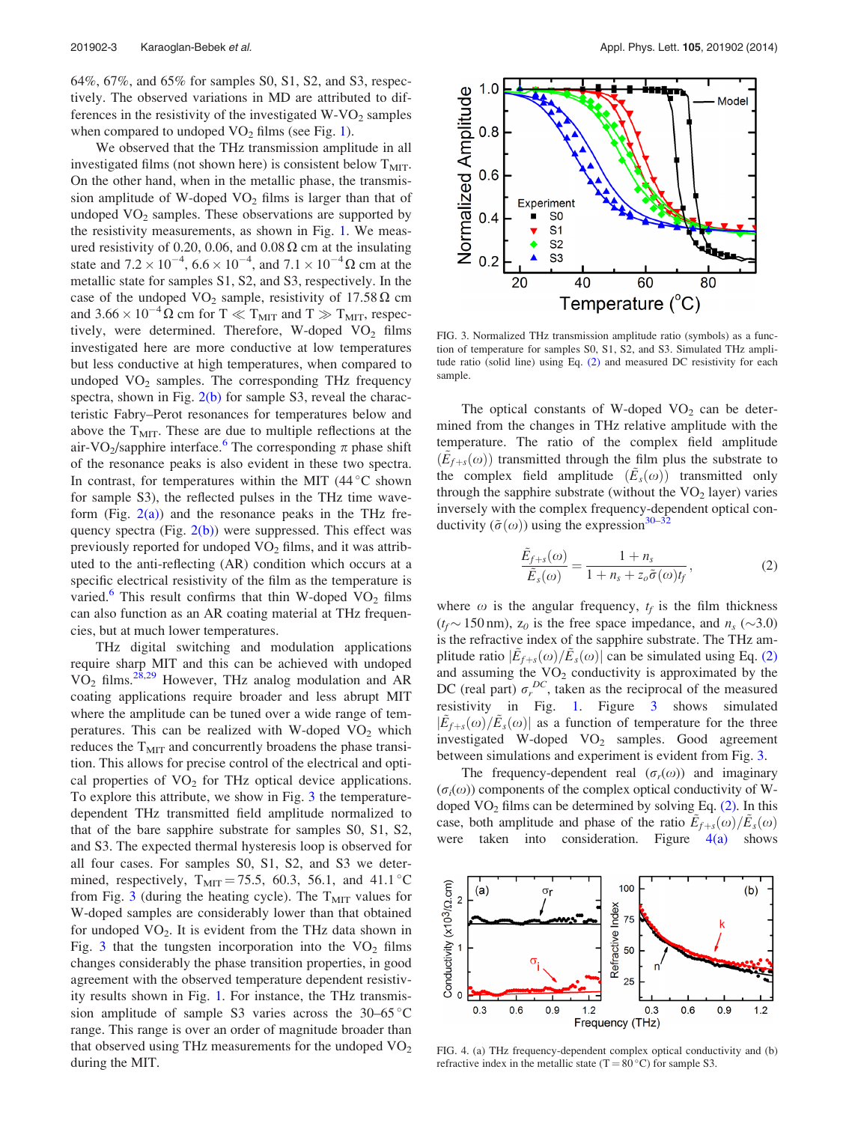<span id="page-2-0"></span>64%, 67%, and 65% for samples S0, S1, S2, and S3, respectively. The observed variations in MD are attributed to differences in the resistivity of the investigated  $W-VO<sub>2</sub>$  samples when compared to undoped  $VO<sub>2</sub>$  films (see Fig. [1\)](#page-1-0).

We observed that the THz transmission amplitude in all investigated films (not shown here) is consistent below  $T<sub>MIT</sub>$ . On the other hand, when in the metallic phase, the transmission amplitude of W-doped  $VO<sub>2</sub>$  films is larger than that of undoped  $VO<sub>2</sub>$  samples. These observations are supported by the resistivity measurements, as shown in Fig. [1.](#page-1-0) We measured resistivity of 0.20, 0.06, and 0.08  $\Omega$  cm at the insulating state and  $7.2 \times 10^{-4}$ ,  $6.6 \times 10^{-4}$ , and  $7.1 \times 10^{-4} \Omega$  cm at the metallic state for samples S1, S2, and S3, respectively. In the case of the undoped VO<sub>2</sub> sample, resistivity of 17.58  $\Omega$  cm and 3.66  $\times$  10<sup>-4</sup>  $\Omega$  cm for T  $\ll$  T<sub>MIT</sub> and T  $\gg$  T<sub>MIT</sub>, respectively, were determined. Therefore, W-doped  $VO<sub>2</sub>$  films investigated here are more conductive at low temperatures but less conductive at high temperatures, when compared to undoped  $VO<sub>2</sub>$  samples. The corresponding THz frequency spectra, shown in Fig. [2\(b\)](#page-1-0) for sample S3, reveal the characteristic Fabry–Perot resonances for temperatures below and above the  $T<sub>MIT</sub>$ . These are due to multiple reflections at the air-VO<sub>2</sub>/sapphire interface.<sup>[6](#page-3-0)</sup> The corresponding  $\pi$  phase shift of the resonance peaks is also evident in these two spectra. In contrast, for temperatures within the MIT  $(44^{\circ}$ C shown for sample S3), the reflected pulses in the THz time waveform (Fig.  $2(a)$ ) and the resonance peaks in the THz frequency spectra (Fig.  $2(b)$ ) were suppressed. This effect was previously reported for undoped  $VO<sub>2</sub>$  films, and it was attributed to the anti-reflecting (AR) condition which occurs at a specific electrical resistivity of the film as the temperature is varied.<sup>[6](#page-3-0)</sup> This result confirms that thin W-doped  $VO<sub>2</sub>$  films can also function as an AR coating material at THz frequencies, but at much lower temperatures.

THz digital switching and modulation applications require sharp MIT and this can be achieved with undoped  $VO<sub>2</sub>$  films.<sup>[28,29](#page-4-0)</sup> However, THz analog modulation and AR coating applications require broader and less abrupt MIT where the amplitude can be tuned over a wide range of temperatures. This can be realized with W-doped  $VO<sub>2</sub>$  which reduces the  $T<sub>MIT</sub>$  and concurrently broadens the phase transition. This allows for precise control of the electrical and optical properties of  $VO<sub>2</sub>$  for THz optical device applications. To explore this attribute, we show in Fig. 3 the temperaturedependent THz transmitted field amplitude normalized to that of the bare sapphire substrate for samples S0, S1, S2, and S3. The expected thermal hysteresis loop is observed for all four cases. For samples S0, S1, S2, and S3 we determined, respectively,  $T_{\text{MIT}} = 75.5, 60.3, 56.1,$  and  $41.1 \degree C$ from Fig. 3 (during the heating cycle). The  $T<sub>MIT</sub>$  values for W-doped samples are considerably lower than that obtained for undoped  $VO<sub>2</sub>$ . It is evident from the THz data shown in Fig. 3 that the tungsten incorporation into the  $VO<sub>2</sub>$  films changes considerably the phase transition properties, in good agreement with the observed temperature dependent resistivity results shown in Fig. [1](#page-1-0). For instance, the THz transmission amplitude of sample S3 varies across the  $30-65^{\circ}$ C range. This range is over an order of magnitude broader than that observed using THz measurements for the undoped  $\rm VO_2$ during the MIT.



FIG. 3. Normalized THz transmission amplitude ratio (symbols) as a function of temperature for samples S0, S1, S2, and S3. Simulated THz amplitude ratio (solid line) using Eq. (2) and measured DC resistivity for each sample.

The optical constants of W-doped  $VO<sub>2</sub>$  can be determined from the changes in THz relative amplitude with the temperature. The ratio of the complex field amplitude  $(E_{f+s}(\omega))$  transmitted through the film plus the substrate to the complex field amplitude  $(E_s(\omega))$  transmitted only through the sapphire substrate (without the  $VO<sub>2</sub>$  layer) varies inversely with the complex frequency-dependent optical conductivity  $(\tilde{\sigma}(\omega))$  using the expression<sup>30–32</sup>

$$
\frac{\tilde{E}_{f+s}(\omega)}{\tilde{E}_s(\omega)} = \frac{1 + n_s}{1 + n_s + z_o \tilde{\sigma}(\omega)t_f},\tag{2}
$$

where  $\omega$  is the angular frequency,  $t_f$  is the film thickness  $(t_f \sim 150 \text{ nm})$ ,  $z_0$  is the free space impedance, and  $n_s (\sim 3.0)$ is the refractive index of the sapphire substrate. The THz amplitude ratio  $|\tilde{E}_{f+s}(\omega)/\tilde{E}_{s}(\omega)|$  can be simulated using Eq. (2) and assuming the  $VO<sub>2</sub>$  conductivity is approximated by the DC (real part)  $\sigma_r^{DC}$ , taken as the reciprocal of the measured resistivity in Fig. [1.](#page-1-0) Figure 3 shows simulated  $|\tilde{E}_{f+s}(\omega)/\tilde{E}_{s}(\omega)|$  as a function of temperature for the three investigated W-doped VO<sub>2</sub> samples. Good agreement between simulations and experiment is evident from Fig. 3.

The frequency-dependent real  $(\sigma_r(\omega))$  and imaginary  $(\sigma_i(\omega))$  components of the complex optical conductivity of Wdoped  $VO<sub>2</sub>$  films can be determined by solving Eq. (2). In this case, both amplitude and phase of the ratio  $\tilde{E}_{f+s}(\omega)/\tilde{E}_{s}(\omega)$ were taken into consideration. Figure 4(a) shows



FIG. 4. (a) THz frequency-dependent complex optical conductivity and (b) refractive index in the metallic state (T =  $80^{\circ}$ C) for sample S3.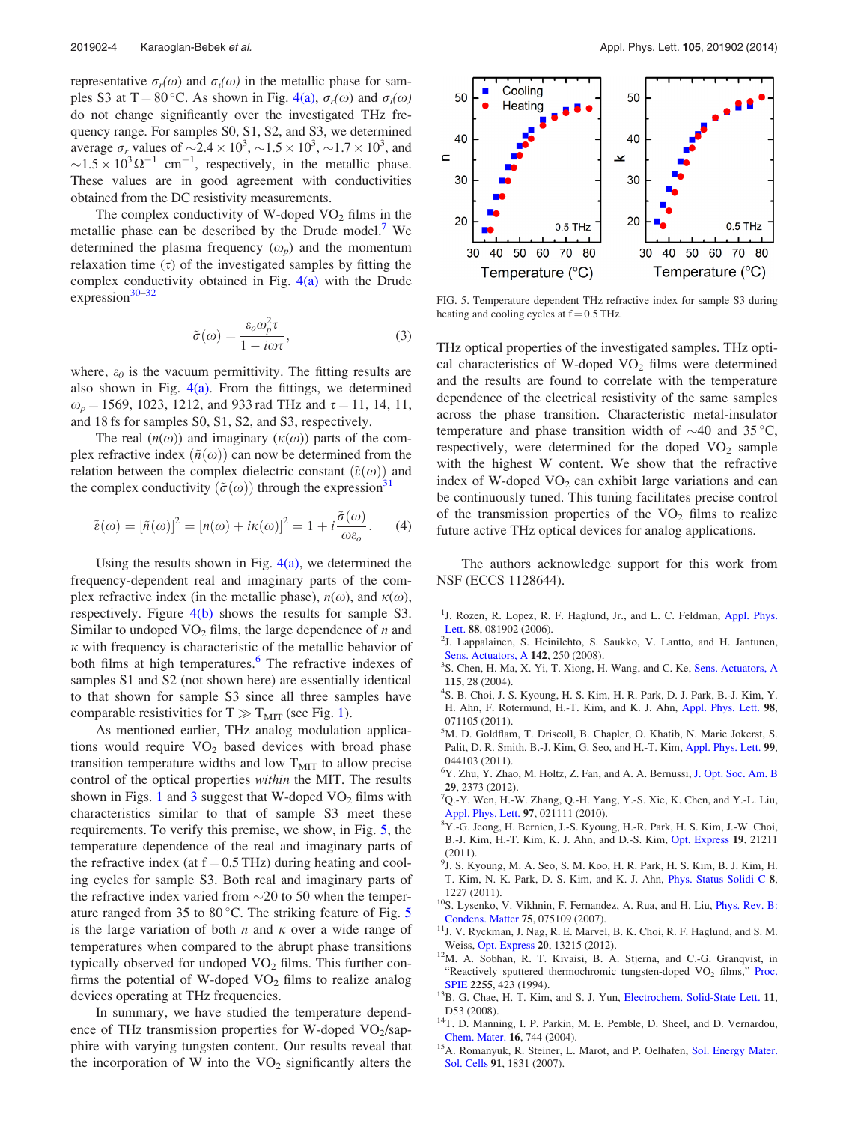<span id="page-3-0"></span>representative  $\sigma_r(\omega)$  and  $\sigma_i(\omega)$  in the metallic phase for sam-ples S3 at T = 80 °C. As shown in Fig. [4\(a\)](#page-2-0),  $\sigma_r(\omega)$  and  $\sigma_i(\omega)$ do not change significantly over the investigated THz frequency range. For samples S0, S1, S2, and S3, we determined average  $\sigma_r$  values of  $\sim 2.4 \times 10^3$ ,  $\sim 1.5 \times 10^3$ ,  $\sim 1.7 \times 10^3$ , and  $\sim$ 1.5  $\times$  10<sup>3</sup>  $\Omega^{-1}$  cm<sup>-1</sup>, respectively, in the metallic phase. These values are in good agreement with conductivities obtained from the DC resistivity measurements.

The complex conductivity of W-doped  $VO<sub>2</sub>$  films in the metallic phase can be described by the Drude model.<sup>7</sup> We determined the plasma frequency  $(\omega_p)$  and the momentum relaxation time  $(\tau)$  of the investigated samples by fitting the complex conductivity obtained in Fig.  $4(a)$  with the Drude expression $30-32$ 

$$
\tilde{\sigma}(\omega) = \frac{\varepsilon_o \omega_p^2 \tau}{1 - i\omega \tau},
$$
\n(3)

where,  $\varepsilon_0$  is the vacuum permittivity. The fitting results are also shown in Fig.  $4(a)$ . From the fittings, we determined  $\omega_p = 1569$ , 1023, 1212, and 933 rad THz and  $\tau = 11$ , 14, 11, and 18 fs for samples S0, S1, S2, and S3, respectively.

The real  $(n(\omega))$  and imaginary  $(\kappa(\omega))$  parts of the complex refractive index  $(\tilde{n}(\omega))$  can now be determined from the relation between the complex dielectric constant  $(\tilde{\varepsilon}(\omega))$  and the complex conductivity  $(\tilde{\sigma}(\omega))$  through the expression<sup>31</sup>

$$
\tilde{\varepsilon}(\omega) = [\tilde{n}(\omega)]^2 = [n(\omega) + i\kappa(\omega)]^2 = 1 + i\frac{\tilde{\sigma}(\omega)}{\omega\varepsilon_o}.
$$
 (4)

Using the results shown in Fig.  $4(a)$ , we determined the frequency-dependent real and imaginary parts of the complex refractive index (in the metallic phase),  $n(\omega)$ , and  $\kappa(\omega)$ , respectively. Figure  $4(b)$  shows the results for sample S3. Similar to undoped  $VO<sub>2</sub>$  films, the large dependence of *n* and  $\kappa$  with frequency is characteristic of the metallic behavior of both films at high temperatures.<sup>6</sup> The refractive indexes of samples S1 and S2 (not shown here) are essentially identical to that shown for sample S3 since all three samples have comparable resistivities for  $T \gg T_{MIT}$  (see Fig. [1](#page-1-0)).

As mentioned earlier, THz analog modulation applications would require  $VO<sub>2</sub>$  based devices with broad phase transition temperature widths and low  $T<sub>MIT</sub>$  to allow precise control of the optical properties within the MIT. The results shown in Figs. [1](#page-1-0) and [3](#page-2-0) suggest that W-doped  $VO<sub>2</sub>$  films with characteristics similar to that of sample S3 meet these requirements. To verify this premise, we show, in Fig. 5, the temperature dependence of the real and imaginary parts of the refractive index (at  $f = 0.5$  THz) during heating and cooling cycles for sample S3. Both real and imaginary parts of the refractive index varied from  $\sim$  20 to 50 when the temperature ranged from 35 to 80 $^{\circ}$ C. The striking feature of Fig. 5 is the large variation of both *n* and  $\kappa$  over a wide range of temperatures when compared to the abrupt phase transitions typically observed for undoped  $VO<sub>2</sub>$  films. This further confirms the potential of W-doped  $VO<sub>2</sub>$  films to realize analog devices operating at THz frequencies.

In summary, we have studied the temperature dependence of THz transmission properties for W-doped  $VO<sub>2</sub>/\text{sap}$ phire with varying tungsten content. Our results reveal that the incorporation of W into the  $VO<sub>2</sub>$  significantly alters the



FIG. 5. Temperature dependent THz refractive index for sample S3 during heating and cooling cycles at  $f = 0.5$  THz.

THz optical properties of the investigated samples. THz optical characteristics of W-doped  $VO<sub>2</sub>$  films were determined and the results are found to correlate with the temperature dependence of the electrical resistivity of the same samples across the phase transition. Characteristic metal-insulator temperature and phase transition width of  $\sim$  40 and 35 °C, respectively, were determined for the doped  $VO<sub>2</sub>$  sample with the highest W content. We show that the refractive index of W-doped  $VO<sub>2</sub>$  can exhibit large variations and can be continuously tuned. This tuning facilitates precise control of the transmission properties of the  $VO<sub>2</sub>$  films to realize future active THz optical devices for analog applications.

The authors acknowledge support for this work from NSF (ECCS 1128644).

- <sup>1</sup>J. Rozen, R. Lopez, R. F. Haglund, Jr., and L. C. Feldman, [Appl. Phys.](http://dx.doi.org/10.1063/1.2175490)
- [Lett.](http://dx.doi.org/10.1063/1.2175490) 88, 081902 (2006).<br><sup>2</sup>J. Lappalainen, S. Heinilehto, S. Saukko, V. Lantto, and H. Jantunen, [Sens. Actuators, A](http://dx.doi.org/10.1016/j.sna.2007.05.002) 142, 250 (2008).
- <sup>3</sup>S. Chen, H. Ma, X. Yi, T. Xiong, H. Wang, and C. Ke, [Sens. Actuators, A](http://dx.doi.org/10.1016/j.sna.2004.03.018) <sup>115</sup>, 28 (2004). <sup>4</sup>
- <sup>4</sup>S. B. Choi, J. S. Kyoung, H. S. Kim, H. R. Park, D. J. Park, B.-J. Kim, Y. H. Ahn, F. Rotermund, H.-T. Kim, and K. J. Ahn, [Appl. Phys. Lett.](http://dx.doi.org/10.1063/1.3553504) 98, 071105 (2011).
- 5 M. D. Goldflam, T. Driscoll, B. Chapler, O. Khatib, N. Marie Jokerst, S. Palit, D. R. Smith, B.-J. Kim, G. Seo, and H.-T. Kim, [Appl. Phys. Lett.](http://dx.doi.org/10.1063/1.3615804) 99, 044103 (2011).
- <sup>6</sup>Y. Zhu, Y. Zhao, M. Holtz, Z. Fan, and A. A. Bernussi, [J. Opt. Soc. Am. B](http://dx.doi.org/10.1364/JOSAB.29.002373) <sup>29</sup>, 2373 (2012). <sup>7</sup>
- $QQ Y$ . Wen, H.-W. Zhang, Q.-H. Yang, Y.-S. Xie, K. Chen, and Y.-L. Liu, [Appl. Phys. Lett.](http://dx.doi.org/10.1063/1.3463466) 97, 021111 (2010).
- Y.-G. Jeong, H. Bernien, J.-S. Kyoung, H.-R. Park, H. S. Kim, J.-W. Choi, B.-J. Kim, H.-T. Kim, K. J. Ahn, and D.-S. Kim, [Opt. Express](http://dx.doi.org/10.1364/OE.19.021211) 19, 21211 (2011).
- 9 J. S. Kyoung, M. A. Seo, S. M. Koo, H. R. Park, H. S. Kim, B. J. Kim, H. T. Kim, N. K. Park, D. S. Kim, and K. J. Ahn, [Phys. Status Solidi C](http://dx.doi.org/10.1002/pssc.201000803) 8,
- 1227 (2011).<br><sup>10</sup>S. Lysenko, V. Vikhnin, F. Fernandez, A. Rua, and H. Liu, [Phys. Rev. B:](http://dx.doi.org/10.1103/PhysRevB.75.075109)
- [Condens. Matter](http://dx.doi.org/10.1103/PhysRevB.75.075109) 75, 075109 (2007).<br><sup>11</sup>J. V. Ryckman, J. Nag, R. E. Marvel, B. K. Choi, R. F. Haglund, and S. M.
- Weiss, [Opt. Express](http://dx.doi.org/10.1364/OE.20.013215) 20, 13215 (2012). <sup>12</sup>M. A. Sobhan, R. T. Kivaisi, B. A. Stjerna, and C.-G. Granqvist, in "Reactively sputtered thermochromic tungsten-doped VO<sub>2</sub> films," [Proc.](http://dx.doi.org/10.1117/12.185385)
- [SPIE](http://dx.doi.org/10.1117/12.185385) 2255, 423 (1994).  $13B$ , G. Chae, H. T. Kim, and S. J. Yun, [Electrochem. Solid-State Lett.](http://dx.doi.org/10.1149/1.2903208) 11,
- D53 (2008).<br><sup>14</sup>T. D. Manning, I. P. Parkin, M. E. Pemble, D. Sheel, and D. Vernardou, Chem. Mater. **16**, 744 (2004).
- <sup>15</sup>A. Romanyuk, R. Steiner, L. Marot, and P. Oelhafen, [Sol. Energy Mater.](http://dx.doi.org/10.1016/j.solmat.2007.06.013) [Sol. Cells](http://dx.doi.org/10.1016/j.solmat.2007.06.013) 91, 1831 (2007).